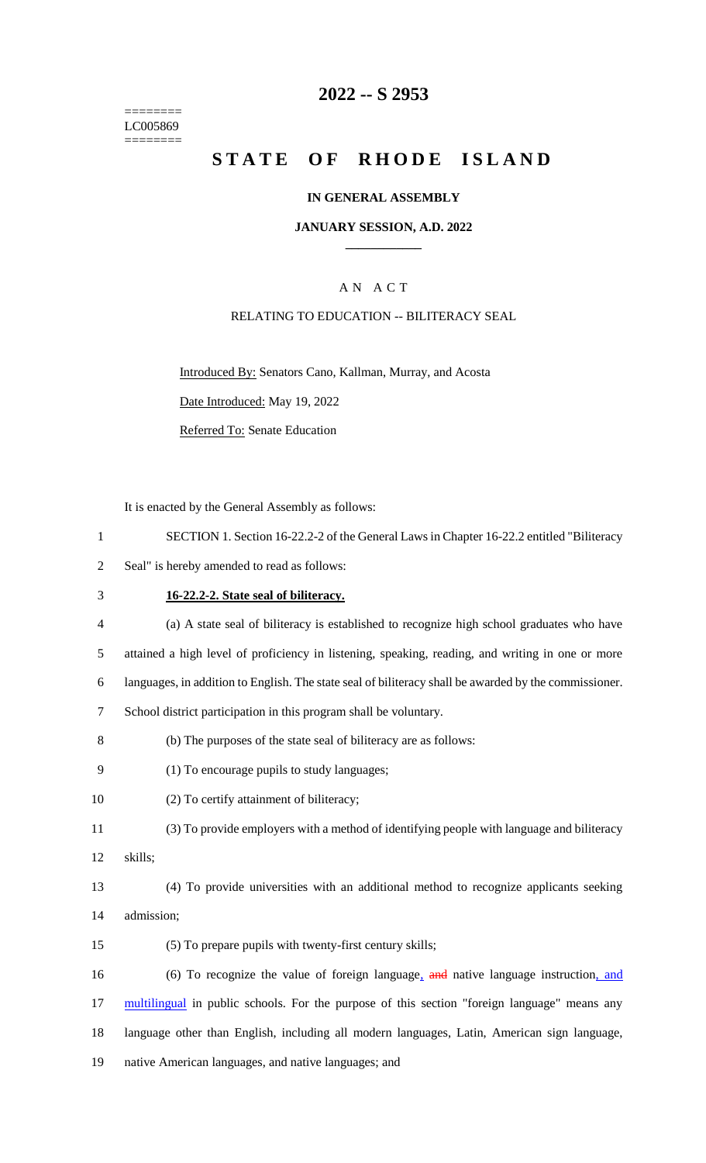======== LC005869 ========

## **2022 -- S 2953**

# **STATE OF RHODE ISLAND**

#### **IN GENERAL ASSEMBLY**

#### **JANUARY SESSION, A.D. 2022 \_\_\_\_\_\_\_\_\_\_\_\_**

## A N A C T

#### RELATING TO EDUCATION -- BILITERACY SEAL

Introduced By: Senators Cano, Kallman, Murray, and Acosta Date Introduced: May 19, 2022 Referred To: Senate Education

It is enacted by the General Assembly as follows:

| 1              | SECTION 1. Section 16-22.2-2 of the General Laws in Chapter 16-22.2 entitled "Biliteracy              |
|----------------|-------------------------------------------------------------------------------------------------------|
| 2              | Seal" is hereby amended to read as follows:                                                           |
| 3              | 16-22.2-2. State seal of biliteracy.                                                                  |
| $\overline{4}$ | (a) A state seal of biliteracy is established to recognize high school graduates who have             |
| 5              | attained a high level of proficiency in listening, speaking, reading, and writing in one or more      |
| 6              | languages, in addition to English. The state seal of biliteracy shall be awarded by the commissioner. |
| 7              | School district participation in this program shall be voluntary.                                     |
| 8              | (b) The purposes of the state seal of biliteracy are as follows:                                      |
| 9              | (1) To encourage pupils to study languages;                                                           |
| 10             | (2) To certify attainment of biliteracy;                                                              |
| 11             | (3) To provide employers with a method of identifying people with language and biliteracy             |

12 skills;

13 (4) To provide universities with an additional method to recognize applicants seeking 14 admission;

15 (5) To prepare pupils with twenty-first century skills;

16 (6) To recognize the value of foreign language, and native language instruction, and 17 multilingual in public schools. For the purpose of this section "foreign language" means any 18 language other than English, including all modern languages, Latin, American sign language, 19 native American languages, and native languages; and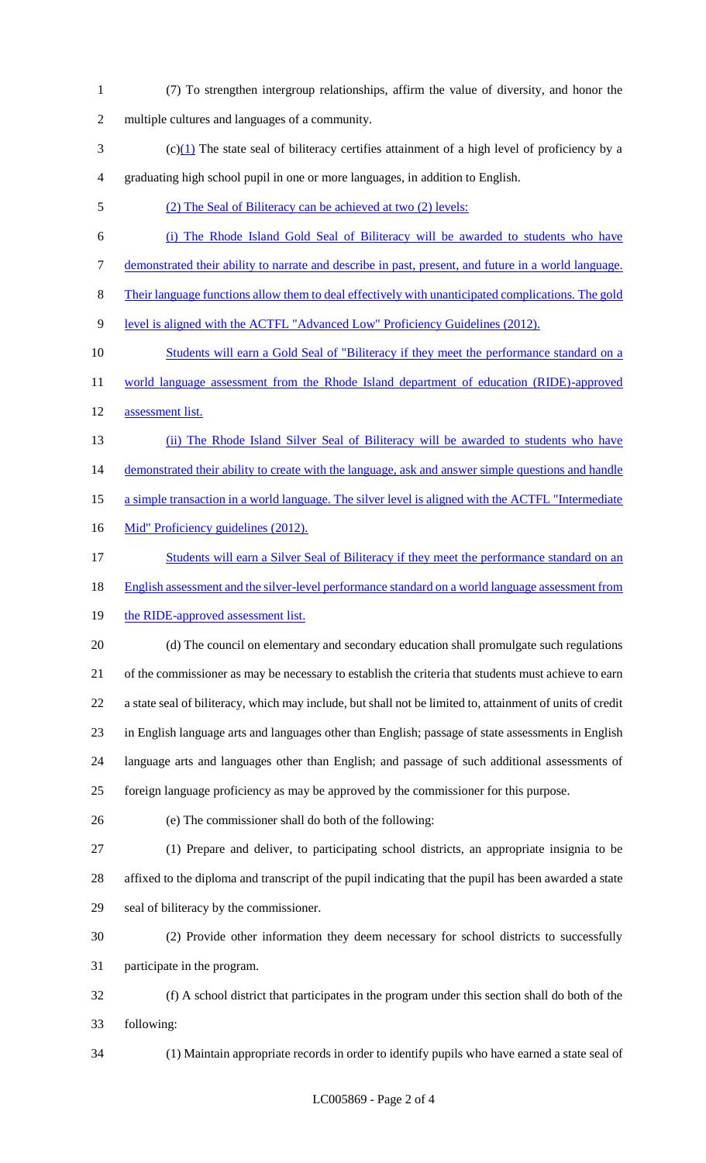- (7) To strengthen intergroup relationships, affirm the value of diversity, and honor the multiple cultures and languages of a community.
- (c)(1) The state seal of biliteracy certifies attainment of a high level of proficiency by a graduating high school pupil in one or more languages, in addition to English.
- (2) The Seal of Biliteracy can be achieved at two (2) levels:
- (i) The Rhode Island Gold Seal of Biliteracy will be awarded to students who have demonstrated their ability to narrate and describe in past, present, and future in a world language.
- Their language functions allow them to deal effectively with unanticipated complications. The gold
- level is aligned with the ACTFL "Advanced Low" Proficiency Guidelines (2012).
- 10 Students will earn a Gold Seal of "Biliteracy if they meet the performance standard on a 11 world language assessment from the Rhode Island department of education (RIDE)-approved
- assessment list.
- (ii) The Rhode Island Silver Seal of Biliteracy will be awarded to students who have 14 demonstrated their ability to create with the language, ask and answer simple questions and handle
- a simple transaction in a world language. The silver level is aligned with the ACTFL "Intermediate
- 16 Mid" Proficiency guidelines (2012).
- 17 Students will earn a Silver Seal of Biliteracy if they meet the performance standard on an
- English assessment and the silver-level performance standard on a world language assessment from
- 19 the RIDE-approved assessment list.
- (d) The council on elementary and secondary education shall promulgate such regulations of the commissioner as may be necessary to establish the criteria that students must achieve to earn a state seal of biliteracy, which may include, but shall not be limited to, attainment of units of credit in English language arts and languages other than English; passage of state assessments in English language arts and languages other than English; and passage of such additional assessments of foreign language proficiency as may be approved by the commissioner for this purpose.
- 
- (e) The commissioner shall do both of the following:
- (1) Prepare and deliver, to participating school districts, an appropriate insignia to be affixed to the diploma and transcript of the pupil indicating that the pupil has been awarded a state seal of biliteracy by the commissioner.
- (2) Provide other information they deem necessary for school districts to successfully participate in the program.
- (f) A school district that participates in the program under this section shall do both of the following:
- 

(1) Maintain appropriate records in order to identify pupils who have earned a state seal of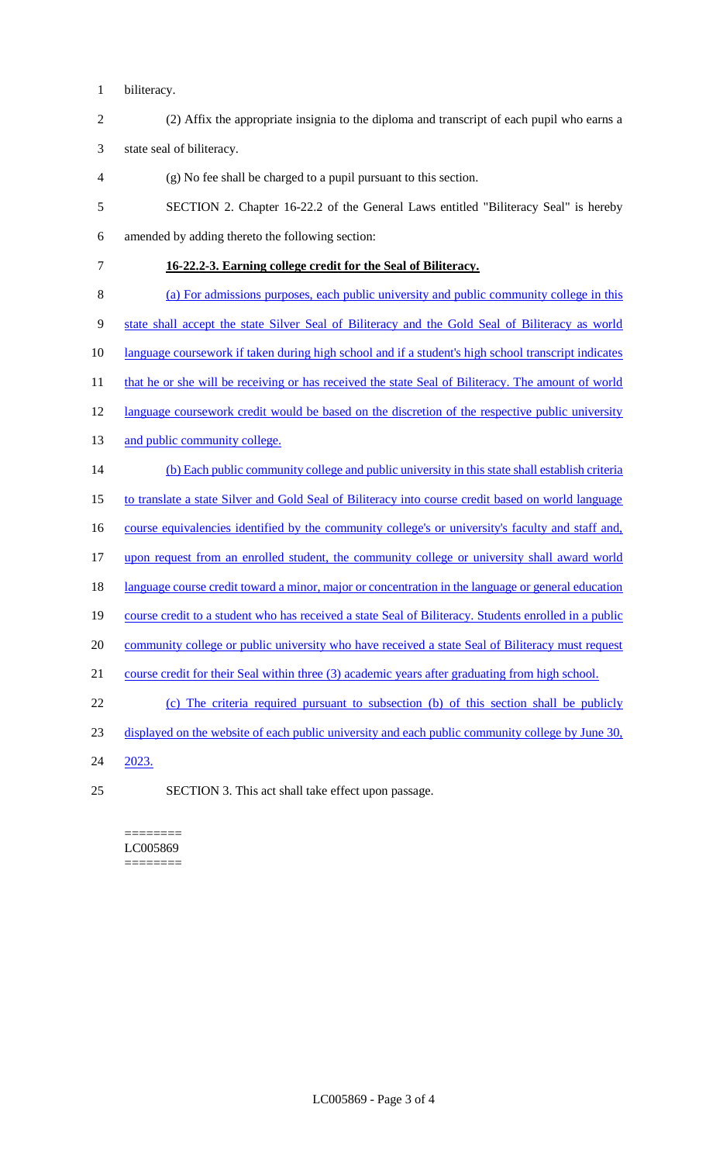- biliteracy.
- (2) Affix the appropriate insignia to the diploma and transcript of each pupil who earns a

state seal of biliteracy.

- (g) No fee shall be charged to a pupil pursuant to this section.
- SECTION 2. Chapter 16-22.2 of the General Laws entitled "Biliteracy Seal" is hereby amended by adding thereto the following section:
- **16-22.2-3. Earning college credit for the Seal of Biliteracy.**
- (a) For admissions purposes, each public university and public community college in this state shall accept the state Silver Seal of Biliteracy and the Gold Seal of Biliteracy as world
- language coursework if taken during high school and if a student's high school transcript indicates
- 11 that he or she will be receiving or has received the state Seal of Biliteracy. The amount of world
- 12 language coursework credit would be based on the discretion of the respective public university
- 13 and public community college.
- (b) Each public community college and public university in this state shall establish criteria
- to translate a state Silver and Gold Seal of Biliteracy into course credit based on world language
- 16 course equivalencies identified by the community college's or university's faculty and staff and,
- upon request from an enrolled student, the community college or university shall award world
- 18 language course credit toward a minor, major or concentration in the language or general education
- course credit to a student who has received a state Seal of Biliteracy. Students enrolled in a public
- 20 community college or public university who have received a state Seal of Biliteracy must request
- course credit for their Seal within three (3) academic years after graduating from high school.
- (c) The criteria required pursuant to subsection (b) of this section shall be publicly
- displayed on the website of each public university and each public community college by June 30,
- 2023.
- SECTION 3. This act shall take effect upon passage.

======== LC005869 ========